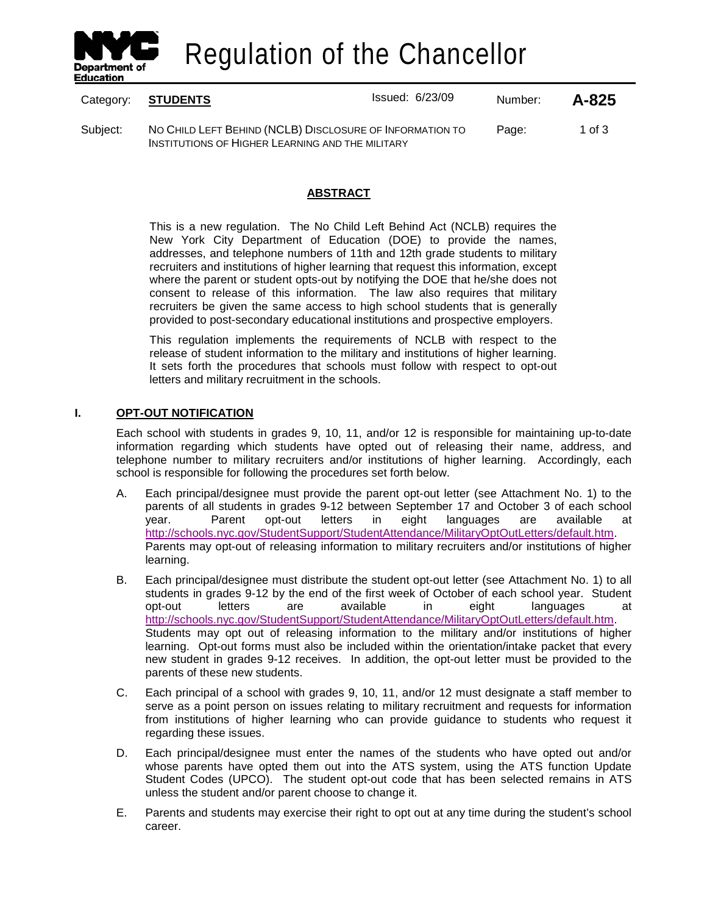

Regulation of the Chancellor

|          | Category: STUDENTS                                                                                           | <b>Issued: 6/23/09</b> | Number: | A-825  |
|----------|--------------------------------------------------------------------------------------------------------------|------------------------|---------|--------|
| Subject: | NO CHILD LEFT BEHIND (NCLB) DISCLOSURE OF INFORMATION TO<br>INSTITUTIONS OF HIGHER LEARNING AND THE MILITARY |                        | Page:   | 1 of 3 |

# **ABSTRACT**

This is a new regulation. The No Child Left Behind Act (NCLB) requires the New York City Department of Education (DOE) to provide the names, addresses, and telephone numbers of 11th and 12th grade students to military recruiters and institutions of higher learning that request this information, except where the parent or student opts-out by notifying the DOE that he/she does not consent to release of this information. The law also requires that military recruiters be given the same access to high school students that is generally provided to post-secondary educational institutions and prospective employers.

This regulation implements the requirements of NCLB with respect to the release of student information to the military and institutions of higher learning. It sets forth the procedures that schools must follow with respect to opt-out letters and military recruitment in the schools.

## **I. OPT-OUT NOTIFICATION**

Each school with students in grades 9, 10, 11, and/or 12 is responsible for maintaining up-to-date information regarding which students have opted out of releasing their name, address, and telephone number to military recruiters and/or institutions of higher learning. Accordingly, each school is responsible for following the procedures set forth below.

- A. Each principal/designee must provide the parent opt-out letter (see Attachment No. 1) to the parents of all students in grades 9-12 between September 17 and October 3 of each school<br>vear. Parent opt-out letters in eight languages are available at year. Parent opt-out letters in eight languages are available at [http://schools.nyc.gov/StudentSupport/StudentAttendance/MilitaryOptOutLetters/default.htm.](http://schools.nyc.gov/StudentSupport/StudentAttendance/MilitaryOptOutLetters/default.htm) Parents may opt-out of releasing information to military recruiters and/or institutions of higher learning.
- B. Each principal/designee must distribute the student opt-out letter (see Attachment No. 1) to all students in grades 9-12 by the end of the first week of October of each school year. Student opt-out letters are available in eight languages at [http://schools.nyc.gov/StudentSupport/StudentAttendance/MilitaryOptOutLetters/default.htm.](http://schools.nyc.gov/StudentSupport/StudentAttendance/MilitaryOptOutLetters/default.htm) Students may opt out of releasing information to the military and/or institutions of higher learning. Opt-out forms must also be included within the orientation/intake packet that every new student in grades 9-12 receives. In addition, the opt-out letter must be provided to the parents of these new students.
- C. Each principal of a school with grades 9, 10, 11, and/or 12 must designate a staff member to serve as a point person on issues relating to military recruitment and requests for information from institutions of higher learning who can provide guidance to students who request it regarding these issues.
- D. Each principal/designee must enter the names of the students who have opted out and/or whose parents have opted them out into the ATS system, using the ATS function Update Student Codes (UPCO). The student opt-out code that has been selected remains in ATS unless the student and/or parent choose to change it.
- E. Parents and students may exercise their right to opt out at any time during the student's school career.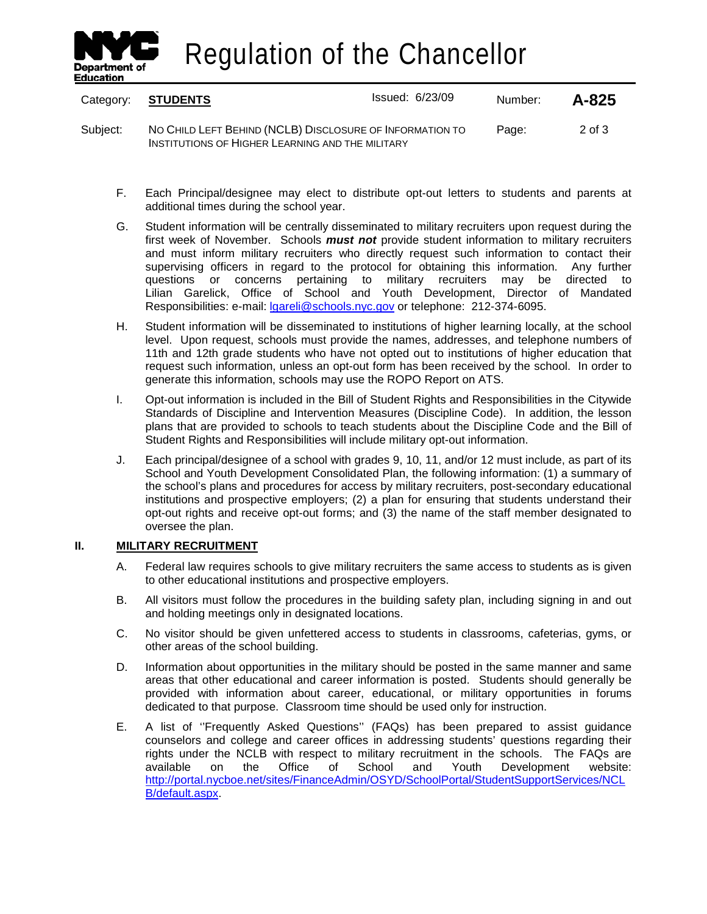

Regulation of the Chancellor

| Category: | <b>STUDENTS</b>                                                                                              | <b>Issued: 6/23/09</b> | Number: | $A - 825$  |
|-----------|--------------------------------------------------------------------------------------------------------------|------------------------|---------|------------|
| Subiect:  | NO CHILD LEFT BEHIND (NCLB) DISCLOSURE OF INFORMATION TO<br>INSTITUTIONS OF HIGHER LEARNING AND THE MILITARY |                        | Page:   | $2$ of $3$ |

- F. Each Principal/designee may elect to distribute opt-out letters to students and parents at additional times during the school year.
- G. Student information will be centrally disseminated to military recruiters upon request during the first week of November. Schools *must not* provide student information to military recruiters and must inform military recruiters who directly request such information to contact their supervising officers in regard to the protocol for obtaining this information. Any further questions or concerns pertaining to military recruiters may be directed to Lilian Garelick, Office of School and Youth Development, Director of Mandated Responsibilities: e-mail: *Igareli@schools.nyc.gov* or telephone: 212-374-6095.
- H. Student information will be disseminated to institutions of higher learning locally, at the school level. Upon request, schools must provide the names, addresses, and telephone numbers of 11th and 12th grade students who have not opted out to institutions of higher education that request such information, unless an opt-out form has been received by the school. In order to generate this information, schools may use the ROPO Report on ATS.
- I. Opt-out information is included in the Bill of Student Rights and Responsibilities in the Citywide Standards of Discipline and Intervention Measures (Discipline Code). In addition, the lesson plans that are provided to schools to teach students about the Discipline Code and the Bill of Student Rights and Responsibilities will include military opt-out information.
- J. Each principal/designee of a school with grades 9, 10, 11, and/or 12 must include, as part of its School and Youth Development Consolidated Plan, the following information: (1) a summary of the school's plans and procedures for access by military recruiters, post-secondary educational institutions and prospective employers; (2) a plan for ensuring that students understand their opt-out rights and receive opt-out forms; and (3) the name of the staff member designated to oversee the plan.

## **II. MILITARY RECRUITMENT**

- A. Federal law requires schools to give military recruiters the same access to students as is given to other educational institutions and prospective employers.
- B. All visitors must follow the procedures in the building safety plan, including signing in and out and holding meetings only in designated locations.
- C. No visitor should be given unfettered access to students in classrooms, cafeterias, gyms, or other areas of the school building.
- D. Information about opportunities in the military should be posted in the same manner and same areas that other educational and career information is posted. Students should generally be provided with information about career, educational, or military opportunities in forums dedicated to that purpose. Classroom time should be used only for instruction.
- E. A list of ''Frequently Asked Questions'' (FAQs) has been prepared to assist guidance counselors and college and career offices in addressing students' questions regarding their rights under the NCLB with respect to military recruitment in the schools. The FAQs are available on the Office of School and Youth Development website: [http://portal.nycboe.net/sites/FinanceAdmin/OSYD/SchoolPortal/StudentSupportServices/NCL](http://portal.nycboe.net/sites/FinanceAdmin/OSYD/SchoolPortal/StudentSupportServices/NCLB/default.aspx) [B/default.aspx.](http://portal.nycboe.net/sites/FinanceAdmin/OSYD/SchoolPortal/StudentSupportServices/NCLB/default.aspx)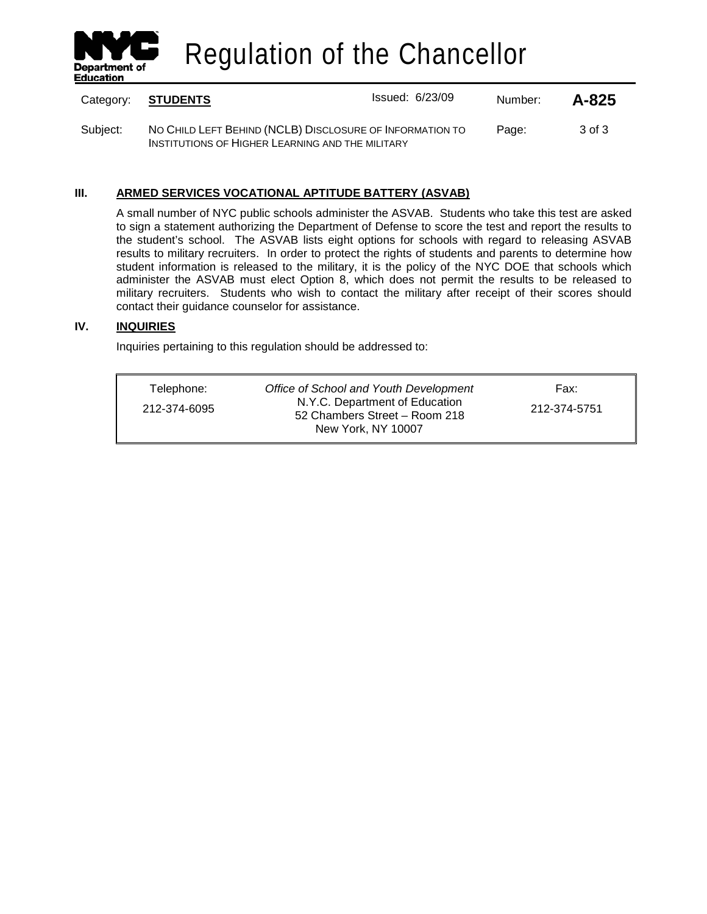

Regulation of the Chancellor

| Category: | <b>STUDENTS</b>                                                                                              | <b>Issued: 6/23/09</b> | Number: | A-825  |
|-----------|--------------------------------------------------------------------------------------------------------------|------------------------|---------|--------|
| Subject:  | NO CHILD LEFT BEHIND (NCLB) DISCLOSURE OF INFORMATION TO<br>INSTITUTIONS OF HIGHER LEARNING AND THE MILITARY |                        | Page:   | 3 of 3 |

# **III. ARMED SERVICES VOCATIONAL APTITUDE BATTERY (ASVAB)**

A small number of NYC public schools administer the ASVAB. Students who take this test are asked to sign a statement authorizing the Department of Defense to score the test and report the results to the student's school. The ASVAB lists eight options for schools with regard to releasing ASVAB results to military recruiters. In order to protect the rights of students and parents to determine how student information is released to the military, it is the policy of the NYC DOE that schools which administer the ASVAB must elect Option 8, which does not permit the results to be released to military recruiters. Students who wish to contact the military after receipt of their scores should contact their guidance counselor for assistance.

## **IV. INQUIRIES**

Inquiries pertaining to this regulation should be addressed to:

| Telephone:   | Office of School and Youth Development                                                | Fax:         |
|--------------|---------------------------------------------------------------------------------------|--------------|
| 212-374-6095 | N.Y.C. Department of Education<br>52 Chambers Street - Room 218<br>New York, NY 10007 | 212-374-5751 |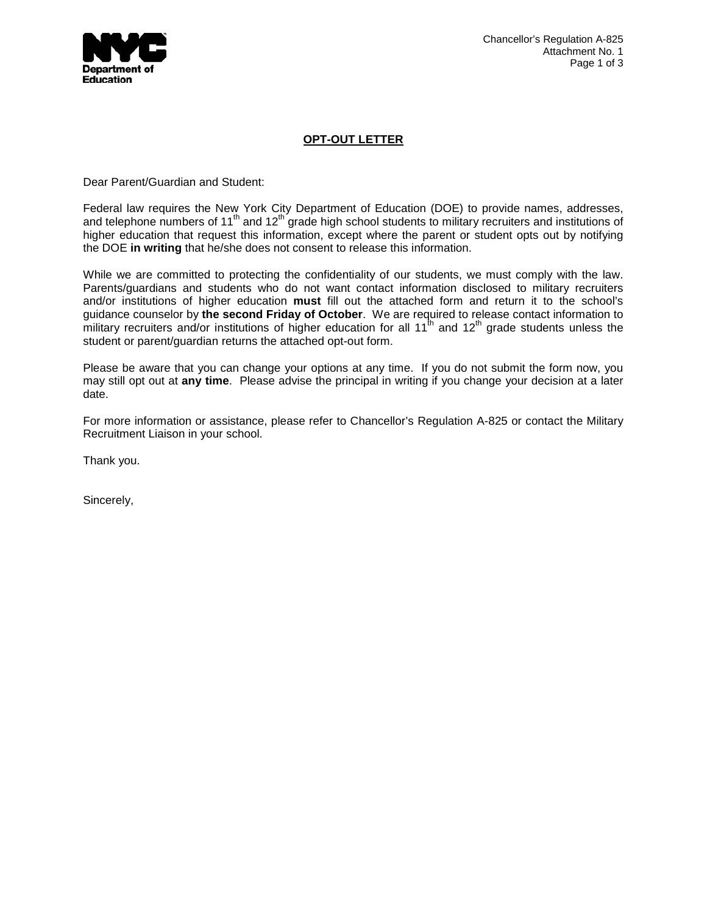

# **OPT-OUT LETTER**

Dear Parent/Guardian and Student:

Federal law requires the New York City Department of Education (DOE) to provide names, addresses, and telephone numbers of 11<sup>th</sup> and 12<sup>th</sup> grade high school students to military recruiters and institutions of higher education that request this information, except where the parent or student opts out by notifying the DOE **in writing** that he/she does not consent to release this information.

While we are committed to protecting the confidentiality of our students, we must comply with the law. Parents/guardians and students who do not want contact information disclosed to military recruiters and/or institutions of higher education **must** fill out the attached form and return it to the school's guidance counselor by **the second Friday of October**. We are required to release contact information to military recruiters and/or institutions of higher education for all 11<sup>th</sup> and 12<sup>th</sup> grade students unless the student or parent/guardian returns the attached opt-out form.

Please be aware that you can change your options at any time. If you do not submit the form now, you may still opt out at **any time**. Please advise the principal in writing if you change your decision at a later date.

For more information or assistance, please refer to Chancellor's Regulation A-825 or contact the Military Recruitment Liaison in your school.

Thank you.

Sincerely,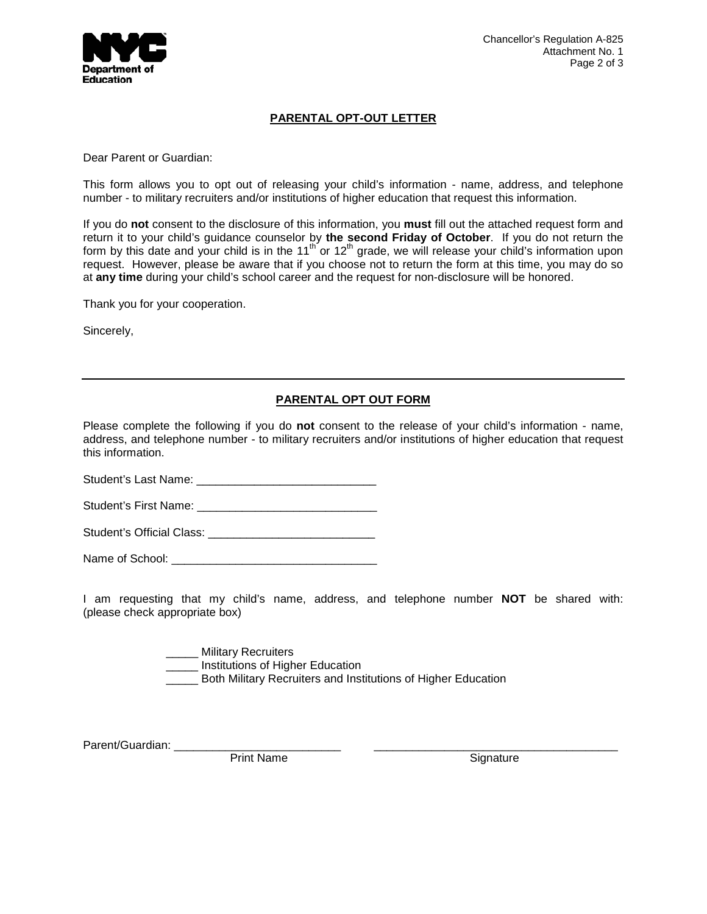

## **PARENTAL OPT-OUT LETTER**

Dear Parent or Guardian:

This form allows you to opt out of releasing your child's information - name, address, and telephone number - to military recruiters and/or institutions of higher education that request this information.

If you do **not** consent to the disclosure of this information, you **must** fill out the attached request form and return it to your child's guidance counselor by **the second Friday of October**. If you do not return the form by this date and your child is in the 11<sup>th</sup> or 12<sup>th</sup> grade, we will release your child's information upon request. However, please be aware that if you choose not to return the form at this time, you may do so at **any time** during your child's school career and the request for non-disclosure will be honored.

Thank you for your cooperation.

Sincerely,

# **PARENTAL OPT OUT FORM**

Please complete the following if you do **not** consent to the release of your child's information - name, address, and telephone number - to military recruiters and/or institutions of higher education that request this information.

Student's Last Name: \_\_\_\_\_\_\_\_\_\_\_\_\_\_\_\_\_\_\_\_\_\_\_\_\_\_\_\_

Student's First Name: \_\_\_\_\_\_\_\_\_\_\_\_\_\_\_\_\_\_\_\_\_\_\_\_\_\_\_\_

Student's Official Class: \_\_\_\_\_\_\_\_\_\_\_\_\_\_\_\_\_\_\_\_\_\_\_\_\_\_

Name of School: \_\_\_\_\_\_\_\_\_\_\_\_\_\_\_\_\_\_\_\_\_\_\_\_\_\_\_\_\_\_\_\_

I am requesting that my child's name, address, and telephone number **NOT** be shared with: (please check appropriate box)

> \_\_\_ Military Recruiters \_\_\_\_\_ Institutions of Higher Education

**EXECTE:** Both Military Recruiters and Institutions of Higher Education

Parent/Guardian:

Print Name Signature